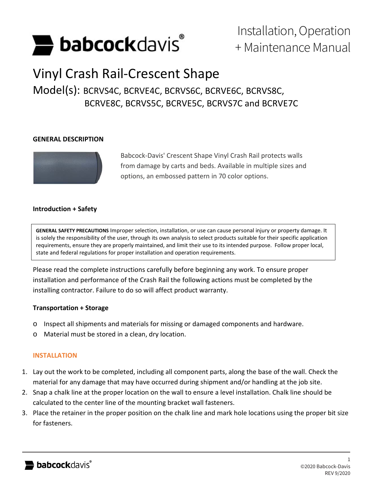

# Installation, Operation + Maintenance Manual

## Vinyl Crash Rail-Crescent Shape

### Model(s): BCRVS4C, BCRVE4C, BCRVS6C, BCRVE6C, BCRVS8C, BCRVE8C, BCRVS5C, BCRVE5C, BCRVS7C and BCRVE7C

#### **GENERAL DESCRIPTION**



Babcock-Davis' Crescent Shape Vinyl Crash Rail protects walls from damage by carts and beds. Available in multiple sizes and options, an embossed pattern in 70 color options.

### **Introduction + Safety**

**GENERAL SAFETY PRECAUTIONS** Improper selection, installation, or use can cause personal injury or property damage. It is solely the responsibility of the user, through its own analysis to select products suitable for their specific application requirements, ensure they are properly maintained, and limit their use to its intended purpose. Follow proper local, state and federal regulations for proper installation and operation requirements.

Please read the complete instructions carefully before beginning any work. To ensure proper installation and performance of the Crash Rail the following actions must be completed by the installing contractor. Failure to do so will affect product warranty.

#### **Transportation + Storage**

- o Inspect all shipments and materials for missing or damaged components and hardware.
- o Material must be stored in a clean, dry location.

#### **INSTALLATION**

- 1. Lay out the work to be completed, including all component parts, along the base of the wall. Check the material for any damage that may have occurred during shipment and/or handling at the job site.
- 2. Snap a chalk line at the proper location on the wall to ensure a level installation. Chalk line should be calculated to the center line of the mounting bracket wall fasteners.
- 3. Place the retainer in the proper position on the chalk line and mark hole locations using the proper bit size for fasteners.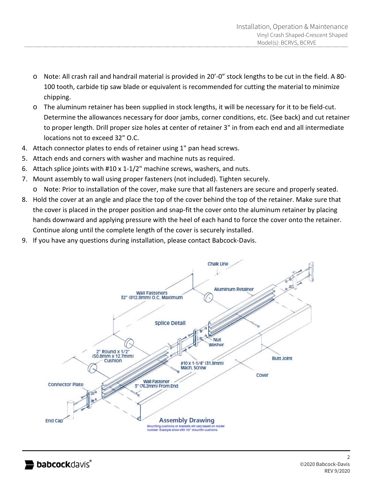- o Note: All crash rail and handrail material is provided in 20'-0" stock lengths to be cut in the field. A 80- 100 tooth, carbide tip saw blade or equivalent is recommended for cutting the material to minimize chipping.
- o The aluminum retainer has been supplied in stock lengths, it will be necessary for it to be field-cut. Determine the allowances necessary for door jambs, corner conditions, etc. (See back) and cut retainer to proper length. Drill proper size holes at center of retainer 3" in from each end and all intermediate locations not to exceed 32" O.C.
- 4. Attach connector plates to ends of retainer using 1" pan head screws.
- 5. Attach ends and corners with washer and machine nuts as required.
- 6. Attach splice joints with #10 x 1-1/2" machine screws, washers, and nuts.
- 7. Mount assembly to wall using proper fasteners (not included). Tighten securely.
- o Note: Prior to installation of the cover, make sure that all fasteners are secure and properly seated.
- 8. Hold the cover at an angle and place the top of the cover behind the top of the retainer. Make sure that the cover is placed in the proper position and snap-fit the cover onto the aluminum retainer by placing hands downward and applying pressure with the heel of each hand to force the cover onto the retainer. Continue along until the complete length of the cover is securely installed.
- 9. If you have any questions during installation, please contact Babcock-Davis.

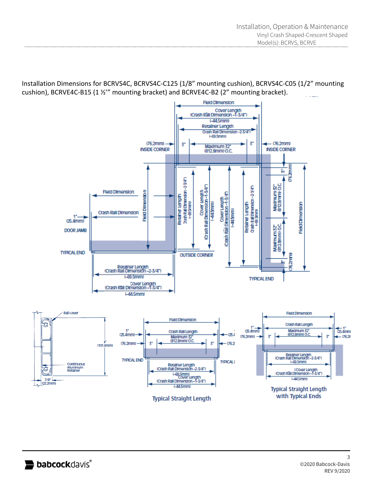Installation Dimensions for BCRVS4C, BCRVS4C-C125 (1/8" mounting cushion), BCRVS4C-C05 (1/2" mounting cushion), BCRVE4C-B15 (1 ½'" mounting bracket) and BCRVE4C-B2 (2" mounting bracket).



**Typical Straight Length**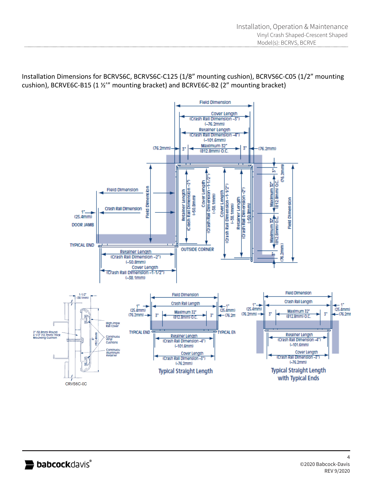Installation Dimensions for BCRVS6C, BCRVS6C-C125 (1/8" mounting cushion), BCRVS6C-C05 (1/2" mounting cushion), BCRVE6C-B15 (1 ½'" mounting bracket) and BCRVE6C-B2 (2" mounting bracket)

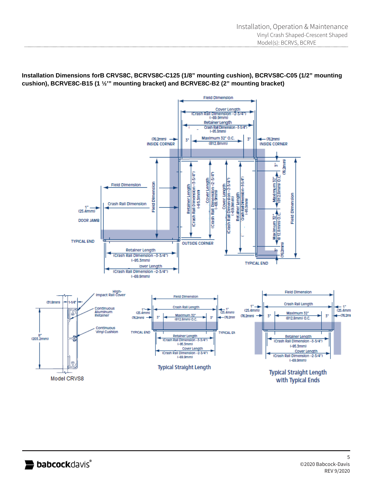**Installation Dimensions forB CRVS8C, BCRVS8C-C125 (1/8" mounting cushion), BCRVS8C-C05 (1/2" mounting cushion), BCRVE8C-B15 (1 ½'" mounting bracket) and BCRVE8C-B2 (2" mounting bracket)**

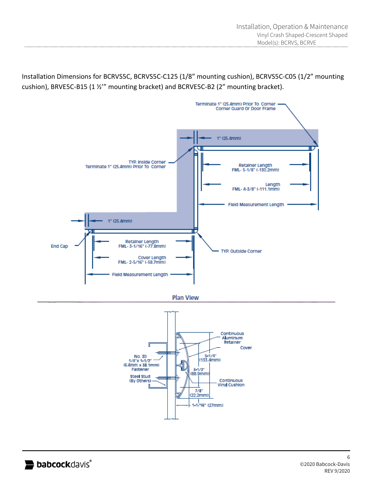Installation Dimensions for BCRVS5C, BCRVS5C-C125 (1/8" mounting cushion), BCRVS5C-C05 (1/2" mounting cushion), BRVE5C-B15 (1 ½'" mounting bracket) and BCRVE5C-B2 (2" mounting bracket).





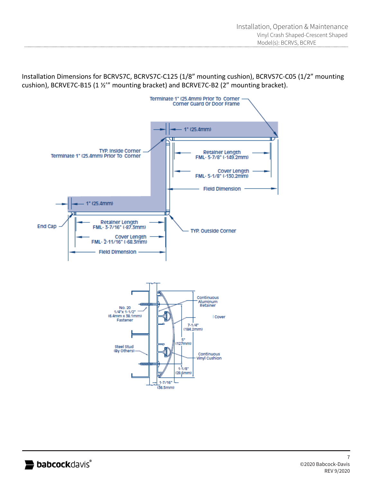Installation Dimensions for BCRVS7C, BCRVS7C-C125 (1/8" mounting cushion), BCRVS7C-C05 (1/2" mounting cushion), BCRVE7C-B15 (1 ½'" mounting bracket) and BCRVE7C-B2 (2" mounting bracket).